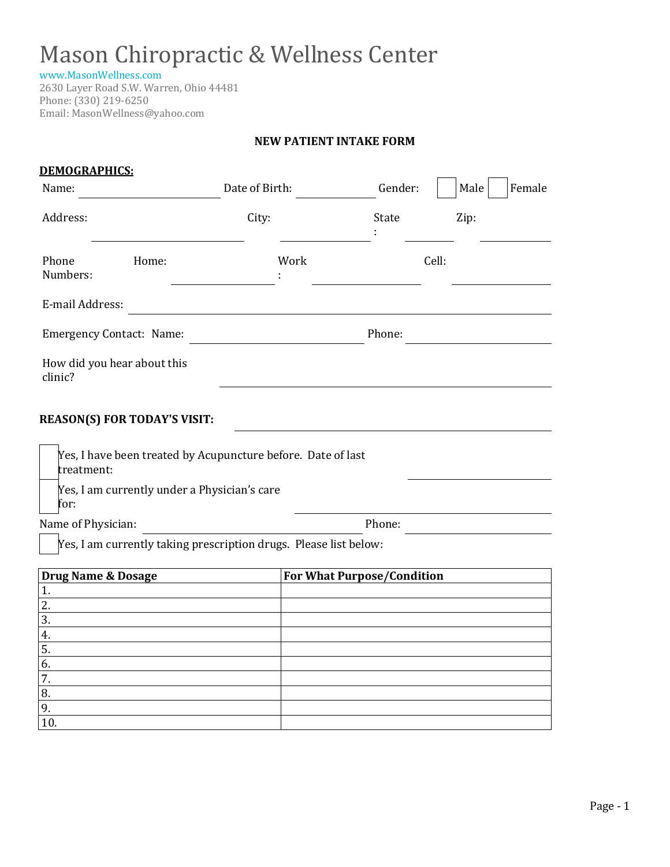[www.MasonWellness.com](http://www.masonwellness.com/)

2630 Layer Road S.W. Warren, Ohio 44481 Phone: (330) 219-6250 Email: MasonWellness@yahoo.com

#### **NEW PATIENT INTAKE FORM**

| <b>DEMOGRAPHICS:</b>                              |                                                                   |      |                                   |                |
|---------------------------------------------------|-------------------------------------------------------------------|------|-----------------------------------|----------------|
| Name:                                             | Date of Birth:                                                    |      | Gender:                           | Female<br>Male |
| Address:                                          | City:                                                             |      | State                             | Zip:           |
| Phone<br>Numbers:                                 | Home:                                                             | Work | Cell:                             |                |
| E-mail Address:                                   |                                                                   |      |                                   |                |
| <b>Emergency Contact: Name:</b>                   |                                                                   |      | Phone:                            |                |
| How did you hear about this<br>clinic?            |                                                                   |      |                                   |                |
| <b>REASON(S) FOR TODAY'S VISIT:</b><br>treatment: | Yes, I have been treated by Acupuncture before. Date of last      |      |                                   |                |
|                                                   | Yes, I am currently under a Physician's care                      |      |                                   |                |
| for:                                              |                                                                   |      |                                   |                |
| Name of Physician:                                | Yes, I am currently taking prescription drugs. Please list below: |      | Phone:                            |                |
| <b>Drug Name &amp; Dosage</b>                     |                                                                   |      | <b>For What Purpose/Condition</b> |                |
| 1.                                                |                                                                   |      |                                   |                |
| 2.                                                |                                                                   |      |                                   |                |
| $\overline{3}$ .                                  |                                                                   |      |                                   |                |
| 4.                                                |                                                                   |      |                                   |                |
| 5.                                                |                                                                   |      |                                   |                |
| 6.                                                |                                                                   |      |                                   |                |
| 7.                                                |                                                                   |      |                                   |                |
| 8.<br>9.                                          |                                                                   |      |                                   |                |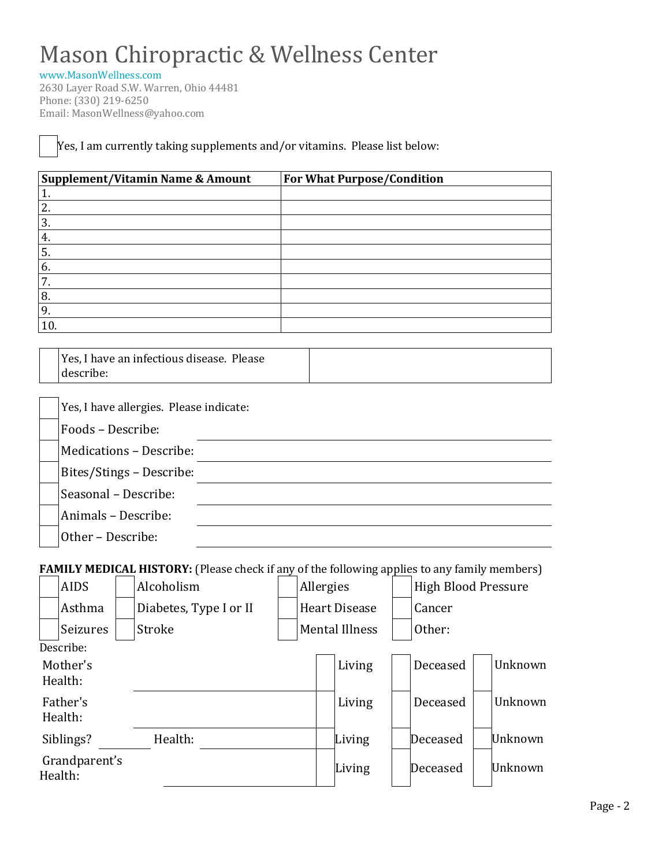[www.MasonWellness.com](http://www.masonwellness.com/)

2630 Layer Road S.W. Warren, Ohio 44481 Phone: (330) 219-6250 Email: MasonWellness@yahoo.com

Yes, I am currently taking supplements and/or vitamins. Please list below:

| Supplement/Vitamin Name & Amount | <b>For What Purpose/Condition</b> |
|----------------------------------|-----------------------------------|
| T,                               |                                   |
| 2.                               |                                   |
| 3.                               |                                   |
| 4.                               |                                   |
| <sup>1</sup> 5.                  |                                   |
| 6.                               |                                   |
| 7.                               |                                   |
| 8.                               |                                   |
| 9.                               |                                   |
| 10                               |                                   |

| Yes, I have an infectious disease. Please |  |
|-------------------------------------------|--|
| describe:                                 |  |

| Yes, I have allergies. Please indicate: |
|-----------------------------------------|
| Foods - Describe:                       |
| Medications - Describe:                 |
| Bites/Stings - Describe:                |
| Seasonal - Describe:                    |
| Animals - Describe:                     |
| Other - Describe:                       |

**FAMILY MEDICAL HISTORY:** (Please check if any of the following applies to any family members)

| <b>AIDS</b>              | Alcoholism             |  |                      | Allergies             |  | <b>High Blood Pressure</b> |  |         |
|--------------------------|------------------------|--|----------------------|-----------------------|--|----------------------------|--|---------|
| Asthma                   | Diabetes, Type I or II |  | <b>Heart Disease</b> |                       |  | Cancer                     |  |         |
| Seizures                 | Stroke                 |  |                      | <b>Mental Illness</b> |  | Other:                     |  |         |
| Describe:                |                        |  |                      |                       |  |                            |  |         |
| Mother's<br>Health:      |                        |  |                      | Living                |  | Deceased                   |  | Unknown |
| Father's<br>Health:      |                        |  |                      | Living                |  | Deceased                   |  | Unknown |
| Siblings?                | Health:                |  |                      | Living                |  | Deceased                   |  | Unknown |
| Grandparent's<br>Health: |                        |  |                      | Living                |  | Deceased                   |  | Unknown |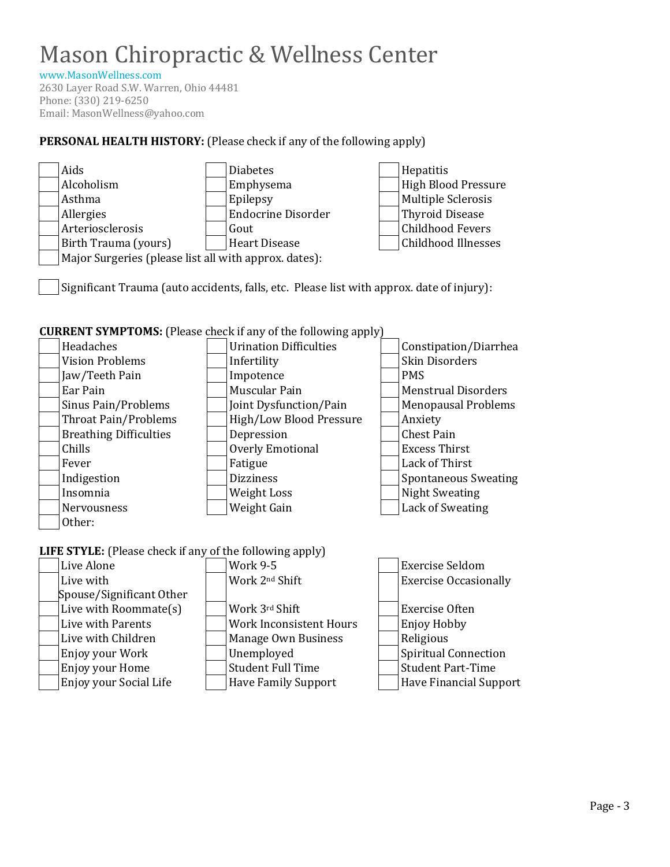[www.MasonWellness.com](http://www.masonwellness.com/)

2630 Layer Road S.W. Warren, Ohio 44481 Phone: (330) 219-6250 Email: MasonWellness@yahoo.com

### **PERSONAL HEALTH HISTORY:** (Please check if any of the following apply)



Significant Trauma (auto accidents, falls, etc. Please list with approx. date of injury):

#### **CURRENT SYMPTOMS:** (Please check if any of the following apply)



### **LIFE STYLE:** (Please check if any of the following apply)

| Live Alone               | <b>Work 9-5</b>            | <b>Exercise Seldom</b>        |
|--------------------------|----------------------------|-------------------------------|
| Live with                | Work 2nd Shift             | <b>Exercise Occasionally</b>  |
| Spouse/Significant Other |                            |                               |
| Live with Roommate(s)    | Work 3rd Shift             | <b>Exercise Often</b>         |
| Live with Parents        | Work Inconsistent Hours    | Enjoy Hobby                   |
| Live with Children       | Manage Own Business        | Religious                     |
| Enjoy your Work          | Unemployed                 | Spiritual Connection          |
| Enjoy your Home          | <b>Student Full Time</b>   | <b>Student Part-Time</b>      |
| Enjoy your Social Life   | <b>Have Family Support</b> | <b>Have Financial Support</b> |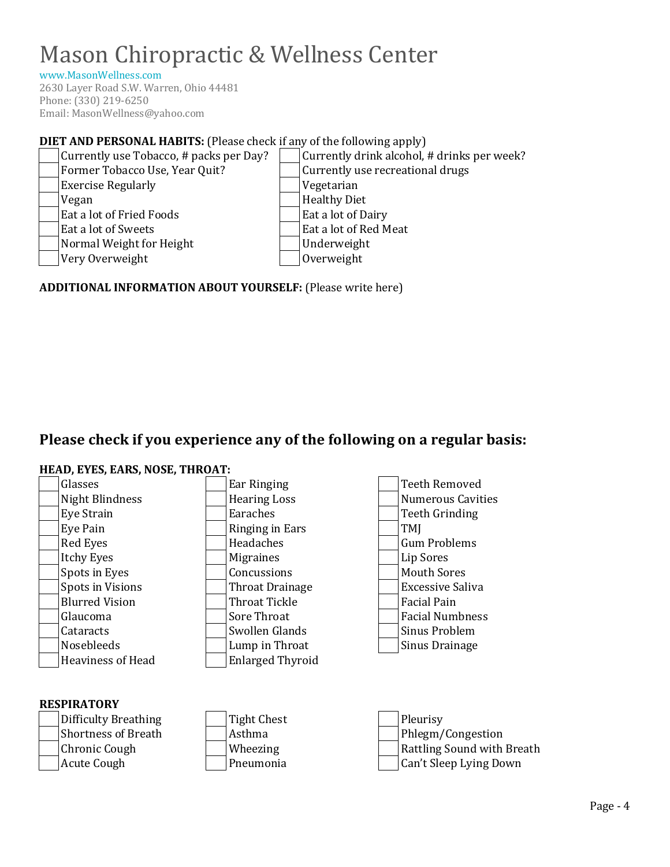[www.MasonWellness.com](http://www.masonwellness.com/)

2630 Layer Road S.W. Warren, Ohio 44481 Phone: (330) 219-6250 Email: MasonWellness@yahoo.com

### **DIET AND PERSONAL HABITS:** (Please check if any of the following apply)



#### **ADDITIONAL INFORMATION ABOUT YOURSELF:** (Please write here)

# **Please check if you experience any of the following on a regular basis:**

#### **HEAD, EYES, EARS, NOSE, THROAT:**

| Glasses                  | Ear Ringing             | <b>Teeth Removed</b>     |
|--------------------------|-------------------------|--------------------------|
| Night Blindness          | <b>Hearing Loss</b>     | <b>Numerous Cavities</b> |
| Eye Strain               | Earaches                | Teeth Grinding           |
| Eye Pain                 | Ringing in Ears         | TMI                      |
| Red Eyes                 | Headaches               | <b>Gum Problems</b>      |
| <b>Itchy Eyes</b>        | <b>Migraines</b>        | Lip Sores                |
| Spots in Eyes            | Concussions             | <b>Mouth Sores</b>       |
| Spots in Visions         | Throat Drainage         | <b>Excessive Saliva</b>  |
| <b>Blurred Vision</b>    | Throat Tickle           | <b>Facial Pain</b>       |
| Glaucoma                 | Sore Throat             | <b>Facial Numbness</b>   |
| Cataracts                | Swollen Glands          | Sinus Problem            |
| <b>Nosebleeds</b>        | Lump in Throat          | Sinus Drainage           |
| <b>Heaviness of Head</b> | <b>Enlarged Thyroid</b> |                          |
|                          |                         |                          |

### **RESPIRATORY** Difficulty Breathing Tight Chest Pleurisy Shortness of Breath  $\vert$  Asthma  $\vert$  Phlegm/Congestion Chronic Cough Wheezing Rattling Sound with Breath Acute Cough **Pneumonia** | | Pneumonia | | | Can't Sleep Lying Down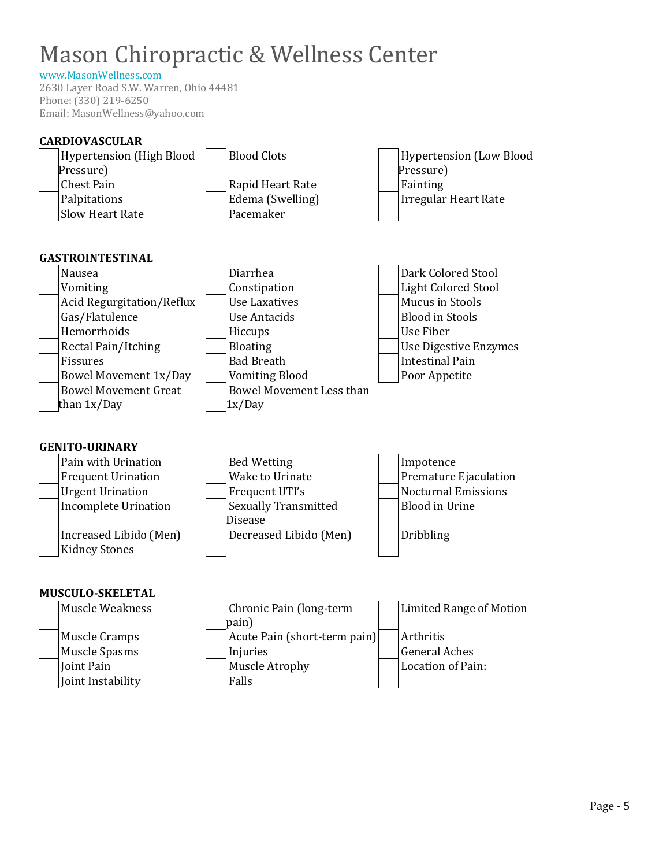### [www.MasonWellness.com](http://www.masonwellness.com/)

2630 Layer Road S.W. Warren, Ohio 44481 Phone: (330) 219-6250 Email: MasonWellness@yahoo.com

| <b>CARDIOVASCULAR</b>                                                                                                                                                                 |                                                                                                                                    |                                                                                                        |
|---------------------------------------------------------------------------------------------------------------------------------------------------------------------------------------|------------------------------------------------------------------------------------------------------------------------------------|--------------------------------------------------------------------------------------------------------|
| <b>Hypertension (High Blood</b>                                                                                                                                                       | <b>Blood Clots</b>                                                                                                                 | <b>Hypertension (Low Blood</b>                                                                         |
| Pressure)                                                                                                                                                                             |                                                                                                                                    | Pressure)                                                                                              |
| <b>Chest Pain</b>                                                                                                                                                                     | Rapid Heart Rate                                                                                                                   | Fainting                                                                                               |
| Palpitations                                                                                                                                                                          | Edema (Swelling)                                                                                                                   | <b>Irregular Heart Rate</b>                                                                            |
| Slow Heart Rate                                                                                                                                                                       | Pacemaker                                                                                                                          |                                                                                                        |
| <b>GASTROINTESTINAL</b><br>Nausea                                                                                                                                                     | Diarrhea                                                                                                                           | Dark Colored Stool                                                                                     |
| Vomiting                                                                                                                                                                              | Constipation                                                                                                                       | <b>Light Colored Stool</b>                                                                             |
| Acid Regurgitation/Reflux                                                                                                                                                             | <b>Use Laxatives</b>                                                                                                               | Mucus in Stools                                                                                        |
| Gas/Flatulence                                                                                                                                                                        | <b>Use Antacids</b>                                                                                                                | <b>Blood in Stools</b>                                                                                 |
| Hemorrhoids                                                                                                                                                                           | Hiccups                                                                                                                            | Use Fiber                                                                                              |
| Rectal Pain/Itching                                                                                                                                                                   | <b>Bloating</b>                                                                                                                    | <b>Use Digestive Enzymes</b>                                                                           |
| Fissures                                                                                                                                                                              | <b>Bad Breath</b>                                                                                                                  | <b>Intestinal Pain</b>                                                                                 |
| <b>Bowel Movement 1x/Day</b>                                                                                                                                                          | <b>Vomiting Blood</b>                                                                                                              | Poor Appetite                                                                                          |
| <b>Bowel Movement Great</b>                                                                                                                                                           | <b>Bowel Movement Less than</b>                                                                                                    |                                                                                                        |
| than 1x/Day                                                                                                                                                                           | 1x/Day                                                                                                                             |                                                                                                        |
| <b>GENITO-URINARY</b><br>Pain with Urination<br><b>Frequent Urination</b><br><b>Urgent Urination</b><br><b>Incomplete Urination</b><br>Increased Libido (Men)<br><b>Kidney Stones</b> | <b>Bed Wetting</b><br>Wake to Urinate<br>Frequent UTI's<br><b>Sexually Transmitted</b><br><b>Disease</b><br>Decreased Libido (Men) | Impotence<br>Premature Ejaculation<br><b>Nocturnal Emissions</b><br><b>Blood in Urine</b><br>Dribbling |
| <b>MUSCULO-SKELETAL</b>                                                                                                                                                               |                                                                                                                                    |                                                                                                        |
| Muscle Weakness                                                                                                                                                                       | Chronic Pain (long-term<br>pain)                                                                                                   | <b>Limited Range of Motion</b>                                                                         |
| <b>Muscle Cramps</b>                                                                                                                                                                  | Acute Pain (short-term pain)                                                                                                       | Arthritis                                                                                              |
| <b>Muscle Spasms</b>                                                                                                                                                                  | Injuries                                                                                                                           | <b>General Aches</b>                                                                                   |
| Joint Pain                                                                                                                                                                            | Muscle Atrophy                                                                                                                     | Location of Pain:                                                                                      |
| Joint Instability                                                                                                                                                                     | Falls                                                                                                                              |                                                                                                        |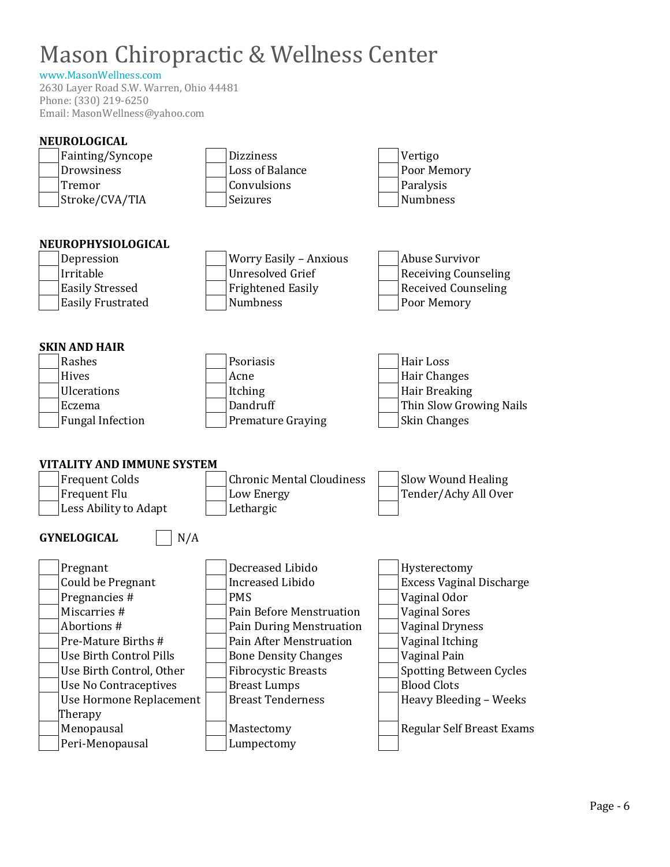### [www.MasonWellness.com](http://www.masonwellness.com/)

2630 Layer Road S.W. Warren, Ohio 44481 Phone: (330) 219-6250 Email: MasonWellness@yahoo.com

| <b>NEUROLOGICAL</b>            |                                  |                                 |
|--------------------------------|----------------------------------|---------------------------------|
| Fainting/Syncope               | <b>Dizziness</b>                 | Vertigo                         |
| Drowsiness                     | <b>Loss of Balance</b>           | Poor Memory                     |
| Tremor                         | Convulsions                      | Paralysis                       |
| Stroke/CVA/TIA                 | Seizures                         | Numbness                        |
|                                |                                  |                                 |
|                                |                                  |                                 |
| NEUROPHYSIOLOGICAL             |                                  |                                 |
| Depression                     | <b>Worry Easily - Anxious</b>    | <b>Abuse Survivor</b>           |
| Irritable                      | <b>Unresolved Grief</b>          | <b>Receiving Counseling</b>     |
| <b>Easily Stressed</b>         | <b>Frightened Easily</b>         | <b>Received Counseling</b>      |
| <b>Easily Frustrated</b>       | Numbness                         | Poor Memory                     |
|                                |                                  |                                 |
|                                |                                  |                                 |
| <b>SKIN AND HAIR</b>           |                                  |                                 |
| Rashes                         | Psoriasis                        | Hair Loss                       |
| Hives                          | Acne                             | Hair Changes                    |
| <b>Ulcerations</b>             | Itching                          | Hair Breaking                   |
| Eczema                         | Dandruff                         | Thin Slow Growing Nails         |
| <b>Fungal Infection</b>        | <b>Premature Graying</b>         | Skin Changes                    |
|                                |                                  |                                 |
| VITALITY AND IMMUNE SYSTEM     |                                  |                                 |
| <b>Frequent Colds</b>          | <b>Chronic Mental Cloudiness</b> | Slow Wound Healing              |
| Frequent Flu                   | Low Energy                       | Tender/Achy All Over            |
| Less Ability to Adapt          | Lethargic                        |                                 |
|                                |                                  |                                 |
| N/A<br><b>GYNELOGICAL</b>      |                                  |                                 |
|                                |                                  |                                 |
| Pregnant                       | Decreased Libido                 | Hysterectomy                    |
| Could be Pregnant              | <b>Increased Libido</b>          | <b>Excess Vaginal Discharge</b> |
| Pregnancies #                  | <b>PMS</b>                       | Vaginal Odor                    |
| Miscarries #                   | Pain Before Menstruation         | <b>Vaginal Sores</b>            |
| Abortions #                    | Pain During Menstruation         | <b>Vaginal Dryness</b>          |
| Pre-Mature Births #            | <b>Pain After Menstruation</b>   | Vaginal Itching                 |
| <b>Use Birth Control Pills</b> | <b>Bone Density Changes</b>      | Vaginal Pain                    |
| Use Birth Control, Other       | <b>Fibrocystic Breasts</b>       | <b>Spotting Between Cycles</b>  |
| <b>Use No Contraceptives</b>   | <b>Breast Lumps</b>              | <b>Blood Clots</b>              |
| Use Hormone Replacement        | <b>Breast Tenderness</b>         | Heavy Bleeding - Weeks          |
| Therapy                        |                                  |                                 |
| Menopausal                     | Mastectomy                       | Regular Self Breast Exams       |
| Peri-Menopausal                | Lumpectomy                       |                                 |
|                                |                                  |                                 |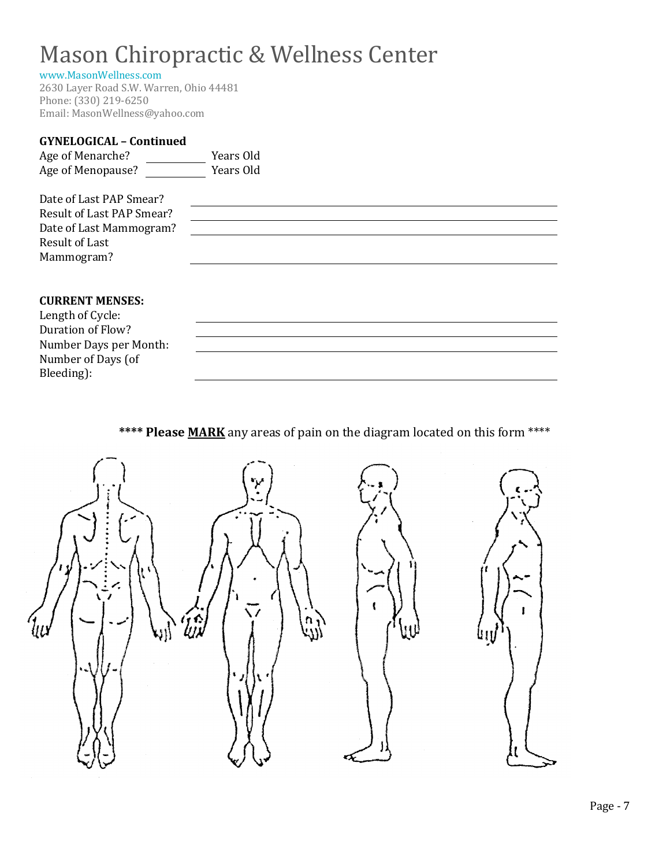#### [www.MasonWellness.com](http://www.masonwellness.com/)

2630 Layer Road S.W. Warren, Ohio 44481 Phone: (330) 219-6250 Email: MasonWellness@yahoo.com

### **GYNELOGICAL – Continued**  Age of Menarche? Years Old Age of Menopause? The Years Old Date of Last PAP Smear? Result of Last PAP Smear? Date of Last Mammogram? Result of Last Mammogram?

#### **CURRENT MENSES:**

| Length of Cycle:       |
|------------------------|
| Duration of Flow?      |
| Number Days per Month: |
| Number of Days (of     |
| Bleeding):             |

**\*\*\*\* Please MARK** any areas of pain on the diagram located on this form \*\*\*\*

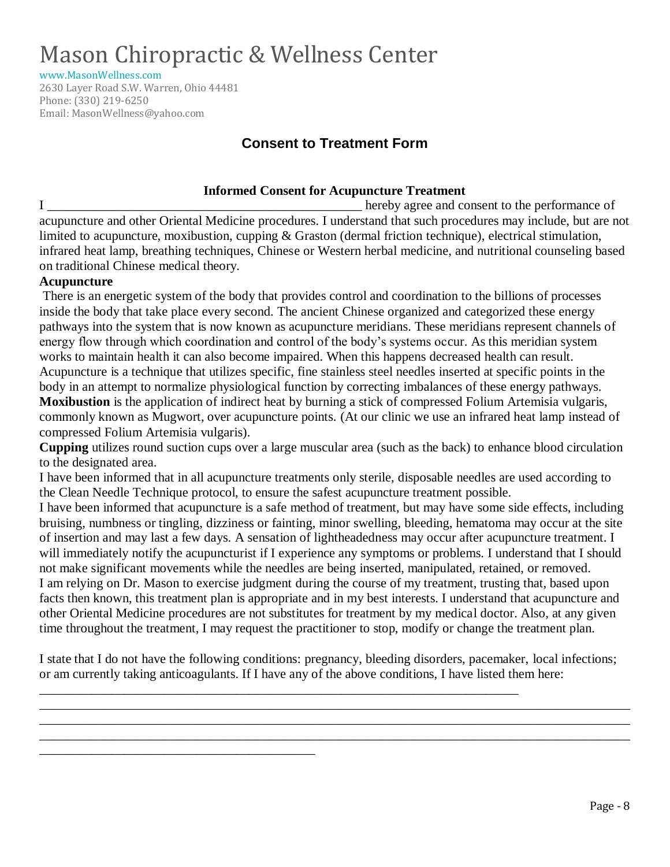[www.MasonWellness.com](http://www.masonwellness.com/)

2630 Layer Road S.W. Warren, Ohio 44481 Phone: (330) 219-6250 Email: MasonWellness@yahoo.com

# **Consent to Treatment Form**

#### **Informed Consent for Acupuncture Treatment**

I consent to the performance of acupuncture and other Oriental Medicine procedures. I understand that such procedures may include, but are not limited to acupuncture, moxibustion, cupping & Graston (dermal friction technique), electrical stimulation, infrared heat lamp, breathing techniques, Chinese or Western herbal medicine, and nutritional counseling based on traditional Chinese medical theory.

#### **Acupuncture**

There is an energetic system of the body that provides control and coordination to the billions of processes inside the body that take place every second. The ancient Chinese organized and categorized these energy pathways into the system that is now known as acupuncture meridians. These meridians represent channels of energy flow through which coordination and control of the body's systems occur. As this meridian system works to maintain health it can also become impaired. When this happens decreased health can result. Acupuncture is a technique that utilizes specific, fine stainless steel needles inserted at specific points in the body in an attempt to normalize physiological function by correcting imbalances of these energy pathways. **Moxibustion** is the application of indirect heat by burning a stick of compressed Folium Artemisia vulgaris, commonly known as Mugwort, over acupuncture points. (At our clinic we use an infrared heat lamp instead of compressed Folium Artemisia vulgaris).

**Cupping** utilizes round suction cups over a large muscular area (such as the back) to enhance blood circulation to the designated area.

I have been informed that in all acupuncture treatments only sterile, disposable needles are used according to the Clean Needle Technique protocol, to ensure the safest acupuncture treatment possible.

I have been informed that acupuncture is a safe method of treatment, but may have some side effects, including bruising, numbness or tingling, dizziness or fainting, minor swelling, bleeding, hematoma may occur at the site of insertion and may last a few days. A sensation of lightheadedness may occur after acupuncture treatment. I will immediately notify the acupuncturist if I experience any symptoms or problems. I understand that I should not make significant movements while the needles are being inserted, manipulated, retained, or removed. I am relying on Dr. Mason to exercise judgment during the course of my treatment, trusting that, based upon facts then known, this treatment plan is appropriate and in my best interests. I understand that acupuncture and other Oriental Medicine procedures are not substitutes for treatment by my medical doctor. Also, at any given time throughout the treatment, I may request the practitioner to stop, modify or change the treatment plan.

I state that I do not have the following conditions: pregnancy, bleeding disorders, pacemaker, local infections; or am currently taking anticoagulants. If I have any of the above conditions, I have listed them here:

\_\_\_\_\_\_\_\_\_\_\_\_\_\_\_\_\_\_\_\_\_\_\_\_\_\_\_\_\_\_\_\_\_\_\_\_\_\_\_\_\_\_\_\_\_\_\_\_\_\_\_\_\_\_\_\_\_\_\_\_\_\_\_\_\_\_\_\_\_\_\_\_\_\_\_\_\_\_\_\_\_\_\_\_\_\_\_\_\_\_ \_\_\_\_\_\_\_\_\_\_\_\_\_\_\_\_\_\_\_\_\_\_\_\_\_\_\_\_\_\_\_\_\_\_\_\_\_\_\_\_\_\_\_\_\_\_\_\_\_\_\_\_\_\_\_\_\_\_\_\_\_\_\_\_\_\_\_\_\_\_\_\_\_\_\_\_\_\_\_\_\_\_\_\_\_\_\_\_\_\_ \_\_\_\_\_\_\_\_\_\_\_\_\_\_\_\_\_\_\_\_\_\_\_\_\_\_\_\_\_\_\_\_\_\_\_\_\_\_\_\_\_\_\_\_\_\_\_\_\_\_\_\_\_\_\_\_\_\_\_\_\_\_\_\_\_\_\_\_\_\_\_\_\_\_\_\_\_\_\_\_\_\_\_\_\_\_\_\_\_\_

\_\_\_\_\_\_\_\_\_\_\_\_\_\_\_\_\_\_\_\_\_\_\_\_\_\_\_\_\_\_\_\_\_\_\_\_\_\_\_\_\_\_\_\_\_\_\_\_\_\_\_\_\_\_\_\_\_\_\_\_\_\_\_\_\_\_\_\_\_\_\_\_\_

\_\_\_\_\_\_\_\_\_\_\_\_\_\_\_\_\_\_\_\_\_\_\_\_\_\_\_\_\_\_\_\_\_\_\_\_\_\_\_\_\_\_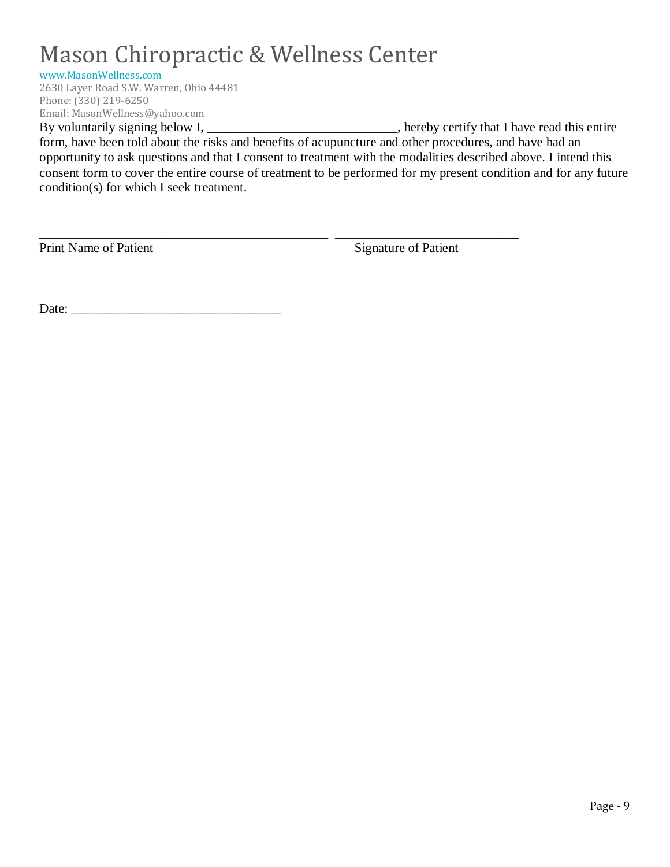[www.MasonWellness.com](http://www.masonwellness.com/)

2630 Layer Road S.W. Warren, Ohio 44481 Phone: (330) 219-6250 Email: MasonWellness@yahoo.com

By voluntarily signing below I, \_\_\_\_\_\_\_\_\_\_\_\_\_\_\_\_\_\_\_\_\_\_\_\_\_\_, hereby certify that I have read this entire form, have been told about the risks and benefits of acupuncture and other procedures, and have had an opportunity to ask questions and that I consent to treatment with the modalities described above. I intend this consent form to cover the entire course of treatment to be performed for my present condition and for any future condition(s) for which I seek treatment.

\_\_\_\_\_\_\_\_\_\_\_\_\_\_\_\_\_\_\_\_\_\_\_\_\_\_\_\_\_\_\_\_\_\_\_\_\_\_\_\_\_\_\_\_ \_\_\_\_\_\_\_\_\_\_\_\_\_\_\_\_\_\_\_\_\_\_\_\_\_\_\_\_

Print Name of Patient Signature of Patient

Date: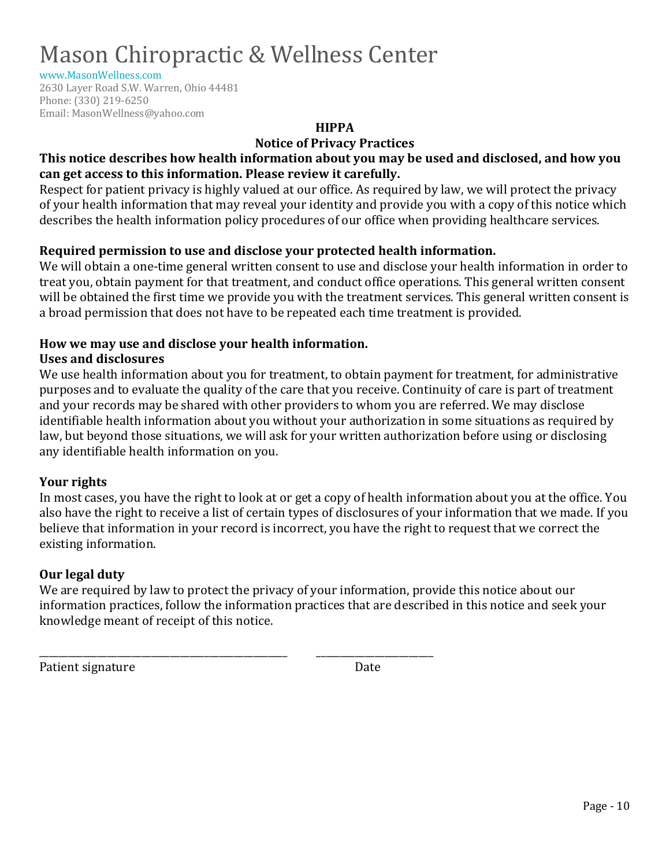[www.MasonWellness.com](http://www.masonwellness.com/)

2630 Layer Road S.W. Warren, Ohio 44481 Phone: (330) 219-6250 Email: MasonWellness@yahoo.com

**HIPPA**

**Notice of Privacy Practices**

### **This notice describes how health information about you may be used and disclosed, and how you can get access to this information. Please review it carefully.**

Respect for patient privacy is highly valued at our office. As required by law, we will protect the privacy of your health information that may reveal your identity and provide you with a copy of this notice which describes the health information policy procedures of our office when providing healthcare services.

### **Required permission to use and disclose your protected health information.**

We will obtain a one-time general written consent to use and disclose your health information in order to treat you, obtain payment for that treatment, and conduct office operations. This general written consent will be obtained the first time we provide you with the treatment services. This general written consent is a broad permission that does not have to be repeated each time treatment is provided.

### **How we may use and disclose your health information.**

\_\_\_\_\_\_\_\_\_\_\_\_\_\_\_\_\_\_\_\_\_\_\_\_\_\_\_\_\_\_\_\_\_\_\_\_\_\_\_\_\_\_\_\_\_\_\_\_\_\_\_ \_\_\_\_\_\_\_\_\_\_\_\_\_\_\_\_\_\_\_\_\_\_\_\_

### **Uses and disclosures**

We use health information about you for treatment, to obtain payment for treatment, for administrative purposes and to evaluate the quality of the care that you receive. Continuity of care is part of treatment and your records may be shared with other providers to whom you are referred. We may disclose identifiable health information about you without your authorization in some situations as required by law, but beyond those situations, we will ask for your written authorization before using or disclosing any identifiable health information on you.

### **Your rights**

In most cases, you have the right to look at or get a copy of health information about you at the office. You also have the right to receive a list of certain types of disclosures of your information that we made. If you believe that information in your record is incorrect, you have the right to request that we correct the existing information.

### **Our legal duty**

We are required by law to protect the privacy of your information, provide this notice about our information practices, follow the information practices that are described in this notice and seek your knowledge meant of receipt of this notice.

Patient signature Date